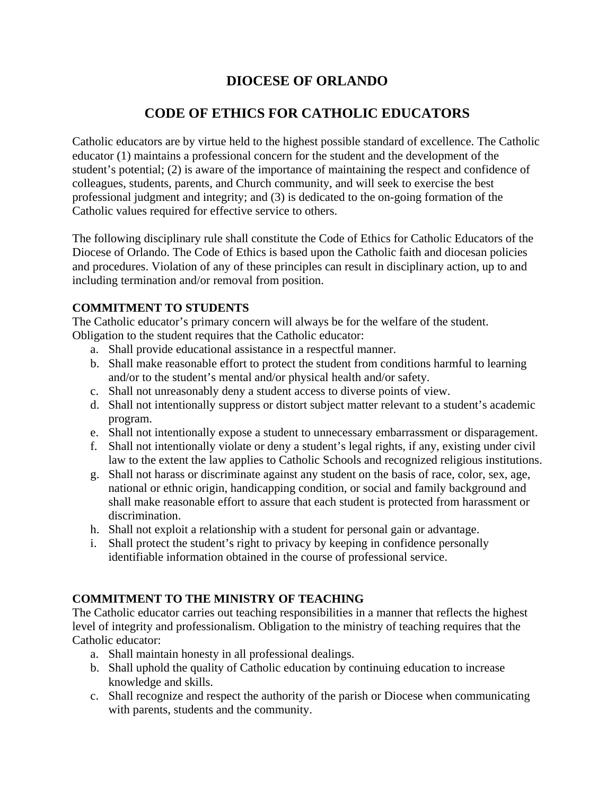## **DIOCESE OF ORLANDO**

## **CODE OF ETHICS FOR CATHOLIC EDUCATORS**

Catholic educators are by virtue held to the highest possible standard of excellence. The Catholic educator (1) maintains a professional concern for the student and the development of the student's potential; (2) is aware of the importance of maintaining the respect and confidence of colleagues, students, parents, and Church community, and will seek to exercise the best professional judgment and integrity; and (3) is dedicated to the on-going formation of the Catholic values required for effective service to others.

The following disciplinary rule shall constitute the Code of Ethics for Catholic Educators of the Diocese of Orlando. The Code of Ethics is based upon the Catholic faith and diocesan policies and procedures. Violation of any of these principles can result in disciplinary action, up to and including termination and/or removal from position.

### **COMMITMENT TO STUDENTS**

The Catholic educator's primary concern will always be for the welfare of the student. Obligation to the student requires that the Catholic educator:

- a. Shall provide educational assistance in a respectful manner.
- b. Shall make reasonable effort to protect the student from conditions harmful to learning and/or to the student's mental and/or physical health and/or safety.
- c. Shall not unreasonably deny a student access to diverse points of view.
- d. Shall not intentionally suppress or distort subject matter relevant to a student's academic program.
- e. Shall not intentionally expose a student to unnecessary embarrassment or disparagement.
- f. Shall not intentionally violate or deny a student's legal rights, if any, existing under civil law to the extent the law applies to Catholic Schools and recognized religious institutions.
- g. Shall not harass or discriminate against any student on the basis of race, color, sex, age, national or ethnic origin, handicapping condition, or social and family background and shall make reasonable effort to assure that each student is protected from harassment or discrimination.
- h. Shall not exploit a relationship with a student for personal gain or advantage.
- i. Shall protect the student's right to privacy by keeping in confidence personally identifiable information obtained in the course of professional service.

### **COMMITMENT TO THE MINISTRY OF TEACHING**

The Catholic educator carries out teaching responsibilities in a manner that reflects the highest level of integrity and professionalism. Obligation to the ministry of teaching requires that the Catholic educator:

- a. Shall maintain honesty in all professional dealings.
- b. Shall uphold the quality of Catholic education by continuing education to increase knowledge and skills.
- c. Shall recognize and respect the authority of the parish or Diocese when communicating with parents, students and the community.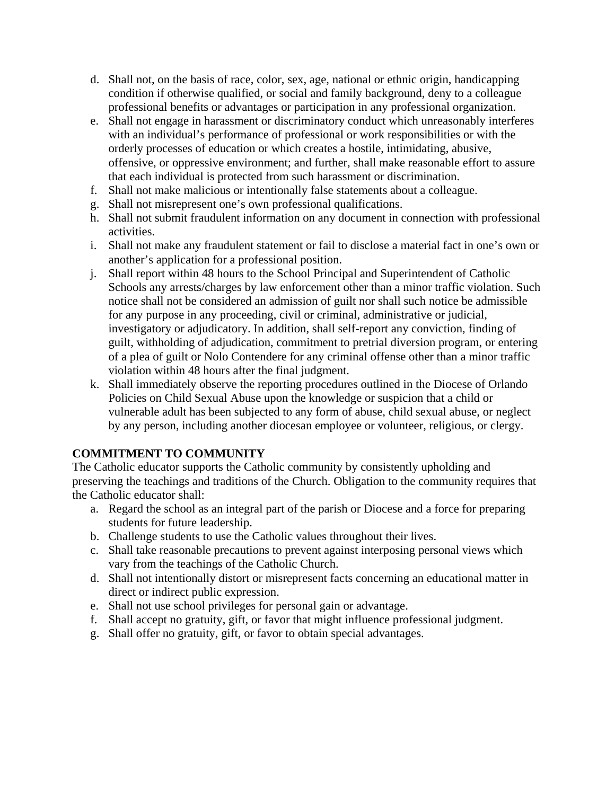- d. Shall not, on the basis of race, color, sex, age, national or ethnic origin, handicapping condition if otherwise qualified, or social and family background, deny to a colleague professional benefits or advantages or participation in any professional organization.
- e. Shall not engage in harassment or discriminatory conduct which unreasonably interferes with an individual's performance of professional or work responsibilities or with the orderly processes of education or which creates a hostile, intimidating, abusive, offensive, or oppressive environment; and further, shall make reasonable effort to assure that each individual is protected from such harassment or discrimination.
- f. Shall not make malicious or intentionally false statements about a colleague.
- g. Shall not misrepresent one's own professional qualifications.
- h. Shall not submit fraudulent information on any document in connection with professional activities.
- i. Shall not make any fraudulent statement or fail to disclose a material fact in one's own or another's application for a professional position.
- j. Shall report within 48 hours to the School Principal and Superintendent of Catholic Schools any arrests/charges by law enforcement other than a minor traffic violation. Such notice shall not be considered an admission of guilt nor shall such notice be admissible for any purpose in any proceeding, civil or criminal, administrative or judicial, investigatory or adjudicatory. In addition, shall self-report any conviction, finding of guilt, withholding of adjudication, commitment to pretrial diversion program, or entering of a plea of guilt or Nolo Contendere for any criminal offense other than a minor traffic violation within 48 hours after the final judgment.
- k. Shall immediately observe the reporting procedures outlined in the Diocese of Orlando Policies on Child Sexual Abuse upon the knowledge or suspicion that a child or vulnerable adult has been subjected to any form of abuse, child sexual abuse, or neglect by any person, including another diocesan employee or volunteer, religious, or clergy.

#### **COMMITMENT TO COMMUNITY**

The Catholic educator supports the Catholic community by consistently upholding and preserving the teachings and traditions of the Church. Obligation to the community requires that the Catholic educator shall:

- a. Regard the school as an integral part of the parish or Diocese and a force for preparing students for future leadership.
- b. Challenge students to use the Catholic values throughout their lives.
- c. Shall take reasonable precautions to prevent against interposing personal views which vary from the teachings of the Catholic Church.
- d. Shall not intentionally distort or misrepresent facts concerning an educational matter in direct or indirect public expression.
- e. Shall not use school privileges for personal gain or advantage.
- f. Shall accept no gratuity, gift, or favor that might influence professional judgment.
- g. Shall offer no gratuity, gift, or favor to obtain special advantages.